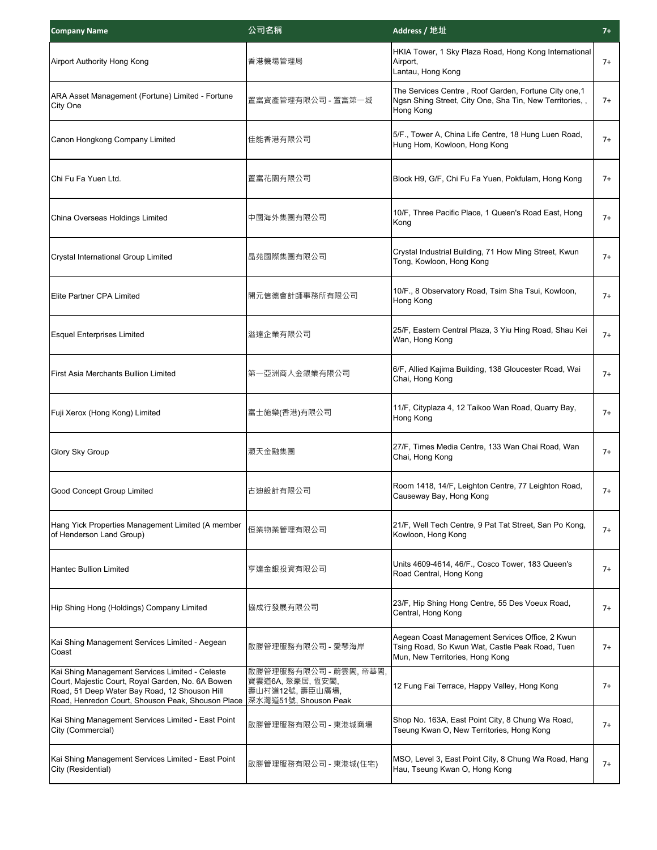| <b>Company Name</b>                                                                                                                                                                                        | 公司名稱                                                                                  | Address / 地址                                                                                                                          | $7+$ |
|------------------------------------------------------------------------------------------------------------------------------------------------------------------------------------------------------------|---------------------------------------------------------------------------------------|---------------------------------------------------------------------------------------------------------------------------------------|------|
| Airport Authority Hong Kong                                                                                                                                                                                | 香港機場管理局                                                                               | HKIA Tower, 1 Sky Plaza Road, Hong Kong International<br>Airport,<br>Lantau, Hong Kong                                                | 7+   |
| ARA Asset Management (Fortune) Limited - Fortune<br>City One                                                                                                                                               | 置富資產管理有限公司 - 置富第一城                                                                    | The Services Centre, Roof Garden, Fortune City one, 1<br>Ngsn Shing Street, City One, Sha Tin, New Territories,,<br>Hong Kong         | 7+   |
| Canon Hongkong Company Limited                                                                                                                                                                             | 佳能香港有限公司                                                                              | 5/F., Tower A, China Life Centre, 18 Hung Luen Road,<br>Hung Hom, Kowloon, Hong Kong                                                  | $7+$ |
| Chi Fu Fa Yuen Ltd.                                                                                                                                                                                        | 置富花園有限公司                                                                              | Block H9, G/F, Chi Fu Fa Yuen, Pokfulam, Hong Kong                                                                                    | $7+$ |
| China Overseas Holdings Limited                                                                                                                                                                            | 中國海外集團有限公司                                                                            | 10/F, Three Pacific Place, 1 Queen's Road East, Hong<br>Kong                                                                          | $7+$ |
| <b>Crystal International Group Limited</b>                                                                                                                                                                 | 晶苑國際集團有限公司                                                                            | Crystal Industrial Building, 71 How Ming Street, Kwun<br>Tong, Kowloon, Hong Kong                                                     | $7+$ |
| Elite Partner CPA Limited                                                                                                                                                                                  | 開元信德會計師事務所有限公司                                                                        | 10/F., 8 Observatory Road, Tsim Sha Tsui, Kowloon,<br>Hong Kong                                                                       | $7+$ |
| <b>Esquel Enterprises Limited</b>                                                                                                                                                                          | 溢達企業有限公司                                                                              | 25/F, Eastern Central Plaza, 3 Yiu Hing Road, Shau Kei<br>Wan, Hong Kong                                                              | $7+$ |
| First Asia Merchants Bullion Limited                                                                                                                                                                       | 第一亞洲商人金銀業有限公司                                                                         | 6/F, Allied Kajima Building, 138 Gloucester Road, Wai<br>Chai, Hong Kong                                                              | $7+$ |
| Fuji Xerox (Hong Kong) Limited                                                                                                                                                                             | 富士施樂(香港)有限公司                                                                          | 11/F, Cityplaza 4, 12 Taikoo Wan Road, Quarry Bay,<br>Hong Kong                                                                       | $7+$ |
| Glory Sky Group                                                                                                                                                                                            | 灝天金融集團                                                                                | 27/F, Times Media Centre, 133 Wan Chai Road, Wan<br>Chai, Hong Kong                                                                   | $7+$ |
| Good Concept Group Limited                                                                                                                                                                                 | 古迪設計有限公司                                                                              | Room 1418, 14/F, Leighton Centre, 77 Leighton Road,<br>Causeway Bay, Hong Kong                                                        | $7+$ |
| Hang Yick Properties Management Limited (A member<br>of Henderson Land Group)                                                                                                                              | 恒業物業管理有限公司                                                                            | 21/F, Well Tech Centre, 9 Pat Tat Street, San Po Kong,<br>Kowloon, Hong Kong                                                          | $7+$ |
| <b>Hantec Bullion Limited</b>                                                                                                                                                                              | 亨達金銀投資有限公司                                                                            | Units 4609-4614, 46/F., Cosco Tower, 183 Queen's<br>Road Central, Hong Kong                                                           | $7+$ |
| Hip Shing Hong (Holdings) Company Limited                                                                                                                                                                  | 協成行發展有限公司                                                                             | 23/F, Hip Shing Hong Centre, 55 Des Voeux Road,<br>Central, Hong Kong                                                                 | $7+$ |
| Kai Shing Management Services Limited - Aegean<br>Coast                                                                                                                                                    | 啟勝管理服務有限公司 - 愛琴海岸                                                                     | Aegean Coast Management Services Office, 2 Kwun<br>Tsing Road, So Kwun Wat, Castle Peak Road, Tuen<br>Mun, New Territories, Hong Kong | 7+   |
| Kai Shing Management Services Limited - Celeste<br>Court, Majestic Court, Royal Garden, No. 6A Bowen<br>Road, 51 Deep Water Bay Road, 12 Shouson Hill<br>Road, Henredon Court, Shouson Peak, Shouson Place | 啟勝管理服務有限公司 - 蔚雲閣, 帝華閣,<br>寶雲道6A, 聚豪居, 恆安閣,<br>壽山村道12號,壽臣山廣場,<br>深水灣道51號, Shouson Peak | 12 Fung Fai Terrace, Happy Valley, Hong Kong                                                                                          | $7+$ |
| Kai Shing Management Services Limited - East Point<br>City (Commercial)                                                                                                                                    | 啟勝管理服務有限公司 - 東港城商場                                                                    | Shop No. 163A, East Point City, 8 Chung Wa Road,<br>Tseung Kwan O, New Territories, Hong Kong                                         | 7+   |
| Kai Shing Management Services Limited - East Point<br>City (Residential)                                                                                                                                   | 啟勝管理服務有限公司 - 東港城(住宅)                                                                  | MSO, Level 3, East Point City, 8 Chung Wa Road, Hang<br>Hau, Tseung Kwan O, Hong Kong                                                 | $7+$ |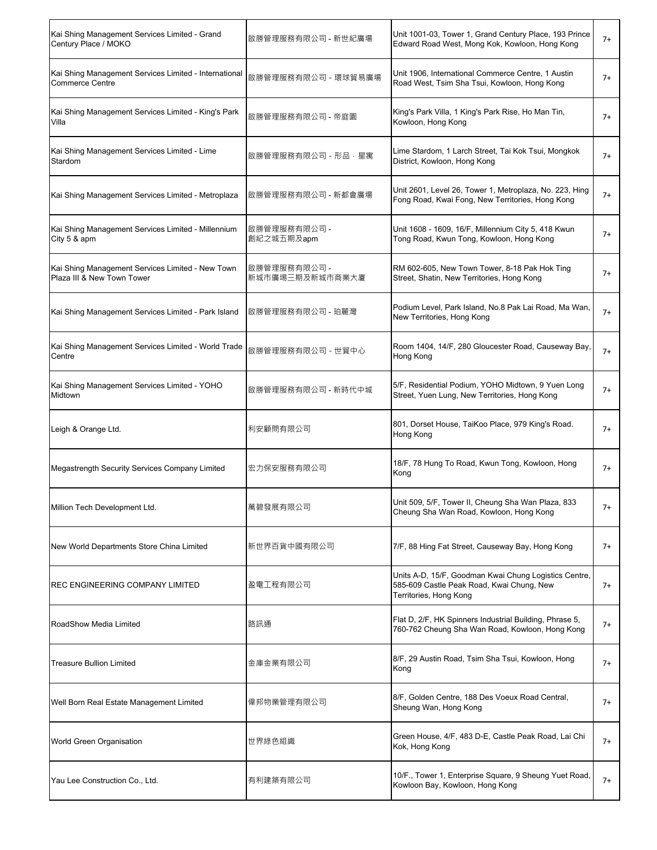| Kai Shing Management Services Limited - Grand<br>Century Place / MOKO           | 啟勝管理服務有限公司 - 新世紀廣場              | Unit 1001-03, Tower 1, Grand Century Place, 193 Prince<br>Edward Road West, Mong Kok, Kowloon, Hong Kong                     | 7+    |
|---------------------------------------------------------------------------------|---------------------------------|------------------------------------------------------------------------------------------------------------------------------|-------|
| Kai Shing Management Services Limited - International<br><b>Commerce Centre</b> | 啟勝管理服務有限公司 - 環球貿易廣場             | Unit 1906, International Commerce Centre, 1 Austin<br>Road West, Tsim Sha Tsui, Kowloon, Hong Kong                           | $7+$  |
| Kai Shing Management Services Limited - King's Park<br>Villa                    | 啟勝管理服務有限公司 - 帝庭園                | King's Park Villa, 1 King's Park Rise, Ho Man Tin,<br>Kowloon, Hong Kong                                                     | $7+$  |
| Kai Shing Management Services Limited - Lime<br>Stardom                         | 啟勝管理服務有限公司 - 形品・星寓              | Lime Stardom, 1 Larch Street, Tai Kok Tsui, Mongkok<br>District, Kowloon, Hong Kong                                          | $7+$  |
| Kai Shing Management Services Limited - Metroplaza                              | 啟勝管理服務有限公司 - 新都會廣場              | Unit 2601, Level 26, Tower 1, Metroplaza, No. 223, Hing<br>Fong Road, Kwai Fong, New Territories, Hong Kong                  | $7+$  |
| Kai Shing Management Services Limited - Millennium<br>City 5 & apm              | 啟勝管理服務有限公司 -<br>創紀之城五期及apm      | Unit 1608 - 1609, 16/F, Millennium City 5, 418 Kwun<br>Tong Road, Kwun Tong, Kowloon, Hong Kong                              | $7+$  |
| Kai Shing Management Services Limited - New Town<br>Plaza III & New Town Tower  | 啟勝管理服務有限公司 -<br>新城市廣場三期及新城市商業大廈 | RM 602-605, New Town Tower, 8-18 Pak Hok Ting<br>Street, Shatin, New Territories, Hong Kong                                  | $7+$  |
| Kai Shing Management Services Limited - Park Island                             | 啟勝管理服務有限公司 - 珀麗灣                | Podium Level, Park Island, No.8 Pak Lai Road, Ma Wan,<br>New Territories, Hong Kong                                          | $7+$  |
| Kai Shing Management Services Limited - World Trade<br>Centre                   | 啟勝管理服務有限公司 - 世貿中心               | Room 1404, 14/F, 280 Gloucester Road, Causeway Bay,<br>Hong Kong                                                             | $7+$  |
| Kai Shing Management Services Limited - YOHO<br>Midtown                         | 啟勝管理服務有限公司 - 新時代中城              | 5/F, Residential Podium, YOHO Midtown, 9 Yuen Long<br>Street, Yuen Lung, New Territories, Hong Kong                          | $7+$  |
| Leigh & Orange Ltd.                                                             | 利安顧問有限公司                        | 801, Dorset House, TaiKoo Place, 979 King's Road.<br>Hong Kong                                                               | $7+$  |
| Megastrength Security Services Company Limited                                  | 宏力保安服務有限公司                      | 18/F, 78 Hung To Road, Kwun Tong, Kowloon, Hong<br>Kong                                                                      | $7+$  |
| Million Tech Development Ltd.                                                   | 萬碧發展有限公司                        | Unit 509, 5/F, Tower II, Cheung Sha Wan Plaza, 833<br>Cheung Sha Wan Road, Kowloon, Hong Kong                                | $/ +$ |
| New World Departments Store China Limited                                       | 新世界百貨中國有限公司                     | 7/F, 88 Hing Fat Street, Causeway Bay, Hong Kong                                                                             | $7+$  |
| <b>REC ENGINEERING COMPANY LIMITED</b>                                          | 盈電工程有限公司                        | Units A-D, 15/F, Goodman Kwai Chung Logistics Centre,<br>585-609 Castle Peak Road, Kwai Chung, New<br>Territories, Hong Kong | $7+$  |
| RoadShow Media Limited                                                          | 路訊通                             | Flat D, 2/F, HK Spinners Industrial Building, Phrase 5,<br>760-762 Cheung Sha Wan Road, Kowloon, Hong Kong                   | 7+    |
| <b>Treasure Bullion Limited</b>                                                 | 金庫金業有限公司                        | 8/F, 29 Austin Road, Tsim Sha Tsui, Kowloon, Hong<br>Kong                                                                    | $7+$  |
| Well Born Real Estate Management Limited                                        | 偉邦物業管理有限公司                      | 8/F, Golden Centre, 188 Des Voeux Road Central,<br>Sheung Wan, Hong Kong                                                     | $7+$  |
| World Green Organisation                                                        | 世界綠色組織                          | Green House, 4/F, 483 D-E, Castle Peak Road, Lai Chi<br>Kok, Hong Kong                                                       | $7+$  |
| Yau Lee Construction Co., Ltd.                                                  | 有利建築有限公司                        | 10/F., Tower 1, Enterprise Square, 9 Sheung Yuet Road,<br>Kowloon Bay, Kowloon, Hong Kong                                    | $7+$  |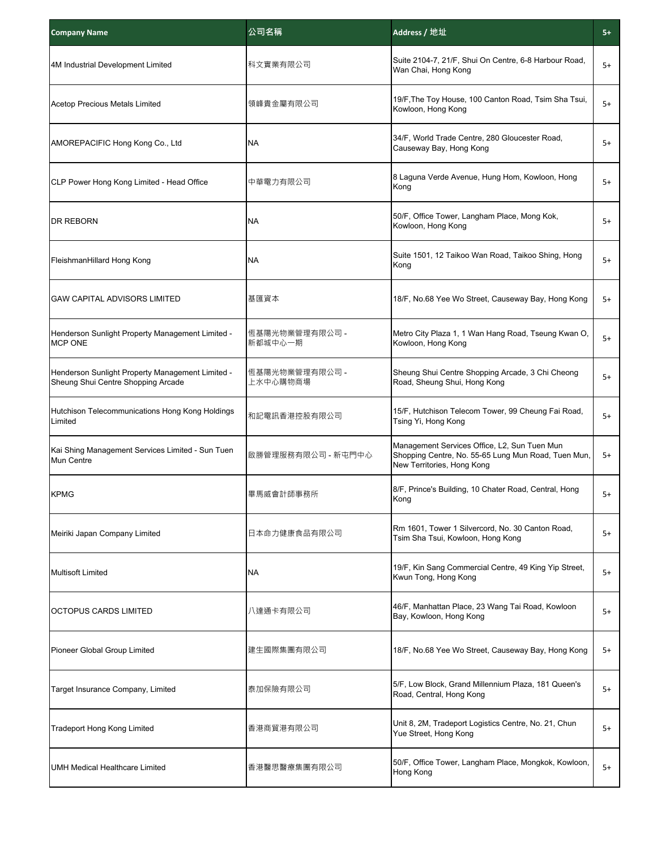| <b>Company Name</b>                                                                    | 公司名稱                       | Address / 地址                                                                                                                      | $5+$ |
|----------------------------------------------------------------------------------------|----------------------------|-----------------------------------------------------------------------------------------------------------------------------------|------|
| 4M Industrial Development Limited                                                      | 科文實業有限公司                   | Suite 2104-7, 21/F, Shui On Centre, 6-8 Harbour Road,<br>Wan Chai, Hong Kong                                                      | $5+$ |
| <b>Acetop Precious Metals Limited</b>                                                  | 領峰貴金屬有限公司                  | 19/F, The Toy House, 100 Canton Road, Tsim Sha Tsui,<br>Kowloon, Hong Kong                                                        | $5+$ |
| AMOREPACIFIC Hong Kong Co., Ltd                                                        | <b>NA</b>                  | 34/F, World Trade Centre, 280 Gloucester Road,<br>Causeway Bay, Hong Kong                                                         | 5+   |
| CLP Power Hong Kong Limited - Head Office                                              | 中華電力有限公司                   | 8 Laguna Verde Avenue, Hung Hom, Kowloon, Hong<br>Kong                                                                            | 5+   |
| DR REBORN                                                                              | <b>NA</b>                  | 50/F, Office Tower, Langham Place, Mong Kok,<br>Kowloon, Hong Kong                                                                | 5+   |
| FleishmanHillard Hong Kong                                                             | <b>NA</b>                  | Suite 1501, 12 Taikoo Wan Road, Taikoo Shing, Hong<br>Kong                                                                        | $5+$ |
| <b>GAW CAPITAL ADVISORS LIMITED</b>                                                    | 基匯資本                       | 18/F, No.68 Yee Wo Street, Causeway Bay, Hong Kong                                                                                | $5+$ |
| Henderson Sunlight Property Management Limited -<br><b>MCP ONE</b>                     | 恆基陽光物業管理有限公司 -<br>新都城中心一期  | Metro City Plaza 1, 1 Wan Hang Road, Tseung Kwan O,<br>Kowloon, Hong Kong                                                         | $5+$ |
| Henderson Sunlight Property Management Limited -<br>Sheung Shui Centre Shopping Arcade | 恆基陽光物業管理有限公司 -<br>上水中心購物商場 | Sheung Shui Centre Shopping Arcade, 3 Chi Cheong<br>Road, Sheung Shui, Hong Kong                                                  | 5+   |
| Hutchison Telecommunications Hong Kong Holdings<br>Limited                             | 和記電訊香港控股有限公司               | 15/F, Hutchison Telecom Tower, 99 Cheung Fai Road,<br>Tsing Yi, Hong Kong                                                         | 5+   |
| Kai Shing Management Services Limited - Sun Tuen<br>Mun Centre                         | 啟勝管理服務有限公司 - 新屯門中心         | Management Services Office, L2, Sun Tuen Mun<br>Shopping Centre, No. 55-65 Lung Mun Road, Tuen Mun,<br>New Territories, Hong Kong | 5+   |
| <b>KPMG</b>                                                                            | 畢馬威會計師事務所                  | 8/F, Prince's Building, 10 Chater Road, Central, Hong<br>Kong                                                                     | 5+   |
| Meiriki Japan Company Limited                                                          | 日本命力健康食品有限公司               | Rm 1601, Tower 1 Silvercord, No. 30 Canton Road,<br>Tsim Sha Tsui, Kowloon, Hong Kong                                             | $5+$ |
| Multisoft Limited                                                                      | <b>NA</b>                  | 19/F, Kin Sang Commercial Centre, 49 King Yip Street,<br>Kwun Tong, Hong Kong                                                     | 5+   |
| <b>OCTOPUS CARDS LIMITED</b>                                                           | 八達通卡有限公司                   | 46/F, Manhattan Place, 23 Wang Tai Road, Kowloon<br>Bay, Kowloon, Hong Kong                                                       | 5+   |
| Pioneer Global Group Limited                                                           | 建生國際集團有限公司                 | 18/F, No.68 Yee Wo Street, Causeway Bay, Hong Kong                                                                                | 5+   |
| Target Insurance Company, Limited                                                      | 泰加保險有限公司                   | 5/F, Low Block, Grand Millennium Plaza, 181 Queen's<br>Road, Central, Hong Kong                                                   | 5+   |
| <b>Tradeport Hong Kong Limited</b>                                                     | 香港商貿港有限公司                  | Unit 8, 2M, Tradeport Logistics Centre, No. 21, Chun<br>Yue Street, Hong Kong                                                     | 5+   |
| <b>UMH Medical Healthcare Limited</b>                                                  | 香港醫思醫療集團有限公司               | 50/F, Office Tower, Langham Place, Mongkok, Kowloon,<br>Hong Kong                                                                 | $5+$ |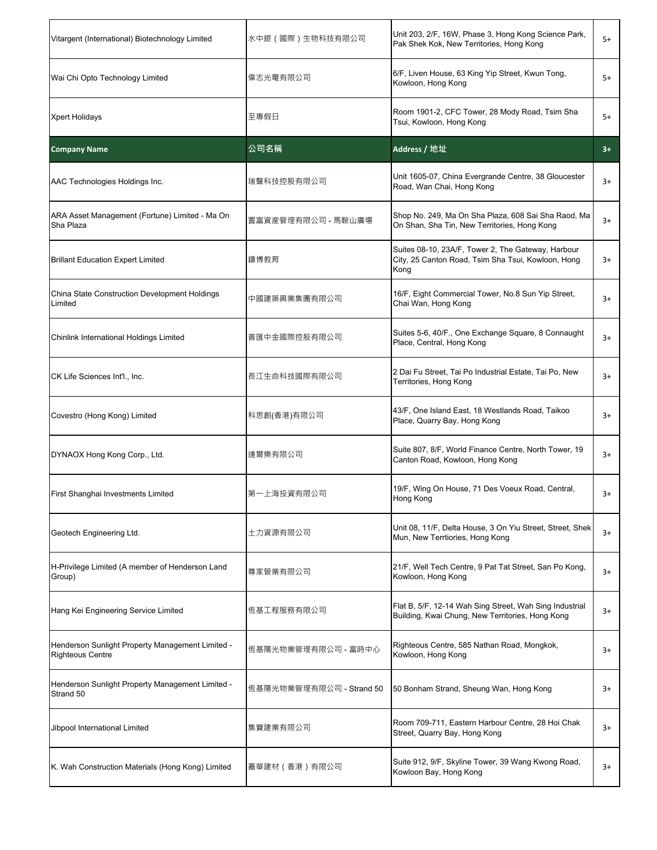| Vitargent (International) Biotechnology Limited                             | 水中銀 (國際)生物科技有限公司         | Unit 203, 2/F, 16W, Phase 3, Hong Kong Science Park,<br>Pak Shek Kok, New Territories, Hong Kong                 | 5+   |
|-----------------------------------------------------------------------------|--------------------------|------------------------------------------------------------------------------------------------------------------|------|
| Wai Chi Opto Technology Limited                                             | 偉志光電有限公司                 | 6/F, Liven House, 63 King Yip Street, Kwun Tong,<br>Kowloon, Hong Kong                                           | 5+   |
| <b>Xpert Holidays</b>                                                       | 至專假日                     | Room 1901-2, CFC Tower, 28 Mody Road, Tsim Sha<br>Tsui, Kowloon, Hong Kong                                       | 5+   |
| <b>Company Name</b>                                                         | 公司名稱                     | Address / 地址                                                                                                     | $3+$ |
| AAC Technologies Holdings Inc.                                              | 瑞聲科技控股有限公司               | Unit 1605-07, China Evergrande Centre, 38 Gloucester<br>Road, Wan Chai, Hong Kong                                | 3+   |
| ARA Asset Management (Fortune) Limited - Ma On<br>Sha Plaza                 | 置富資産管理有限公司 - 馬鞍山廣場       | Shop No. 249, Ma On Sha Plaza, 608 Sai Sha Raod, Ma<br>On Shan, Sha Tin, New Territories, Hong Kong              | $3+$ |
| <b>Brillant Education Expert Limited</b>                                    | 鑄博教育                     | Suites 08-10, 23A/F, Tower 2, The Gateway, Harbour<br>City, 25 Canton Road, Tsim Sha Tsui, Kowloon, Hong<br>Kong | 3+   |
| China State Construction Development Holdings<br>Limited                    | 中國建築興業集團有限公司             | 16/F, Eight Commercial Tower, No.8 Sun Yip Street,<br>Chai Wan, Hong Kong                                        | 3+   |
| Chinlink International Holdings Limited                                     | 普匯中金國際控股有限公司             | Suites 5-6, 40/F., One Exchange Square, 8 Connaught<br>Place, Central, Hong Kong                                 | $3+$ |
| CK Life Sciences Int'l., Inc.                                               | 長江生命科技國際有限公司             | 2 Dai Fu Street, Tai Po Industrial Estate, Tai Po, New<br>Territories, Hong Kong                                 | 3+   |
| Covestro (Hong Kong) Limited                                                | 科思創(香港)有限公司              | 43/F, One Island East, 18 Westlands Road, Taikoo<br>Place, Quarry Bay, Hong Kong                                 | 3+   |
| DYNAOX Hong Kong Corp., Ltd.                                                | 達爾樂有限公司                  | Suite 807, 8/F, World Finance Centre, North Tower, 19<br>Canton Road, Kowloon, Hong Kong                         | 3+   |
| First Shanghai Investments Limited                                          | 第一上海投資有限公司               | 19/F, Wing On House, 71 Des Voeux Road, Central,<br>Hong Kong                                                    | 3+   |
| Geotech Engineering Ltd.                                                    | 土力資源有限公司                 | Unit 08, 11/F, Delta House, 3 On Yiu Street, Street, Shek<br>Mun, New Terrtiories, Hong Kong                     | $3+$ |
| H-Privilege Limited (A member of Henderson Land<br>Group)                   | 尊家管業有限公司                 | 21/F, Well Tech Centre, 9 Pat Tat Street, San Po Kong,<br>Kowloon, Hong Kong                                     | 3+   |
| Hang Kei Engineering Service Limited                                        | 恆基工程服務有限公司               | Flat B, 5/F, 12-14 Wah Sing Street, Wah Sing Industrial<br>Building, Kwai Chung, New Territories, Hong Kong      | 3+   |
| Henderson Sunlight Property Management Limited -<br><b>Righteous Centre</b> | 恆基陽光物業管理有限公司 - 富時中心      | Righteous Centre, 585 Nathan Road, Mongkok,<br>Kowloon, Hong Kong                                                | 3+   |
| Henderson Sunlight Property Management Limited -<br>Strand 50               | 恆基陽光物業管理有限公司 - Strand 50 | 50 Bonham Strand, Sheung Wan, Hong Kong                                                                          | 3+   |
| Jibpool International Limited                                               | 集寶建業有限公司                 | Room 709-711, Eastern Harbour Centre, 28 Hoi Chak<br>Street, Quarry Bay, Hong Kong                               | 3+   |
| K. Wah Construction Materials (Hong Kong) Limited                           | 嘉華建材(香港)有限公司             | Suite 912, 9/F, Skyline Tower, 39 Wang Kwong Road,<br>Kowloon Bay, Hong Kong                                     | $3+$ |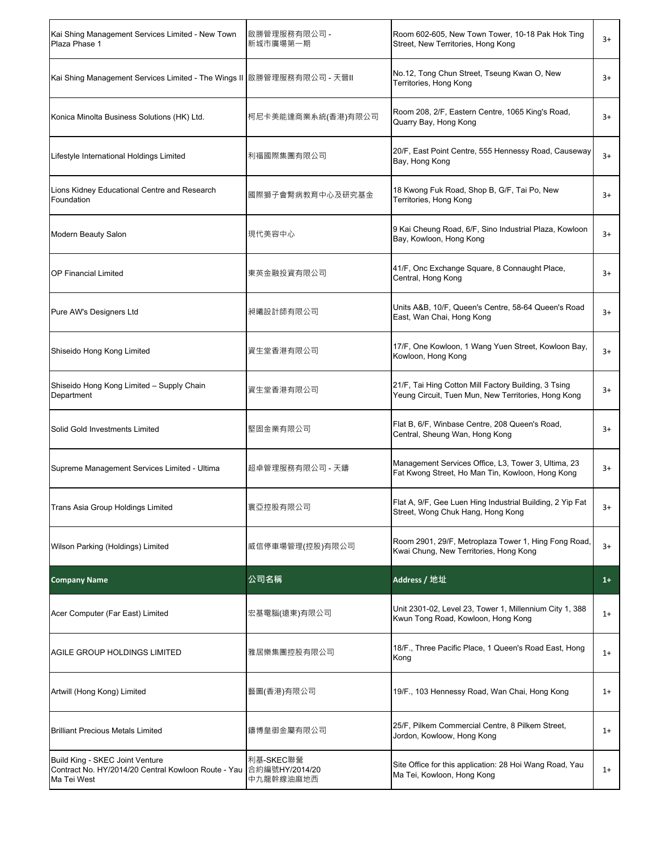| Kai Shing Management Services Limited - New Town<br>Plaza Phase 1       | 啟勝管理服務有限公司 -<br>新城市廣場第一期 | Room 602-605, New Town Tower, 10-18 Pak Hok Ting<br>Street, New Territories, Hong Kong                      | $3+$ |
|-------------------------------------------------------------------------|--------------------------|-------------------------------------------------------------------------------------------------------------|------|
| Kai Shing Management Services Limited - The Wings II  啟勝管理服務有限公司 - 天晉II |                          | No.12, Tong Chun Street, Tseung Kwan O, New<br>Territories, Hong Kong                                       | $3+$ |
| Konica Minolta Business Solutions (HK) Ltd.                             | 柯尼卡美能達商業系統(香港)有限公司       | Room 208, 2/F, Eastern Centre, 1065 King's Road,<br>Quarry Bay, Hong Kong                                   | $3+$ |
| Lifestyle International Holdings Limited                                | 利福國際集團有限公司               | 20/F, East Point Centre, 555 Hennessy Road, Causeway<br>Bay, Hong Kong                                      | $3+$ |
| Lions Kidney Educational Centre and Research<br>Foundation              | 國際獅子會腎病教育中心及研究基金         | 18 Kwong Fuk Road, Shop B, G/F, Tai Po, New<br>Territories, Hong Kong                                       | $3+$ |
| Modern Beauty Salon                                                     | 現代美容中心                   | 9 Kai Cheung Road, 6/F, Sino Industrial Plaza, Kowloon<br>Bay, Kowloon, Hong Kong                           | $3+$ |
| <b>OP Financial Limited</b>                                             | 東英金融投資有限公司               | 41/F, Onc Exchange Square, 8 Connaught Place,<br>Central, Hong Kong                                         | $3+$ |
| Pure AW's Designers Ltd                                                 | 昶曦設計師有限公司                | Units A&B, 10/F, Queen's Centre, 58-64 Queen's Road<br>East, Wan Chai, Hong Kong                            | $3+$ |
| Shiseido Hong Kong Limited                                              | 資生堂香港有限公司                | 17/F, One Kowloon, 1 Wang Yuen Street, Kowloon Bay,<br>Kowloon, Hong Kong                                   | $3+$ |
| Shiseido Hong Kong Limited - Supply Chain<br>Department                 | 資生堂香港有限公司                | 21/F, Tai Hing Cotton Mill Factory Building, 3 Tsing<br>Yeung Circuit, Tuen Mun, New Territories, Hong Kong | $3+$ |
| Solid Gold Investments Limited                                          | 堅固金業有限公司                 | Flat B, 6/F, Winbase Centre, 208 Queen's Road,<br>Central, Sheung Wan, Hong Kong                            | $3+$ |
| Supreme Management Services Limited - Ultima                            | 超卓管理服務有限公司 - 天鑄          | Management Services Office, L3, Tower 3, Ultima, 23<br>Fat Kwong Street, Ho Man Tin, Kowloon, Hong Kong     | 3+   |
| Trans Asia Group Holdings Limited                                       | 寰亞控股有限公司                 | Flat A, 9/F, Gee Luen Hing Industrial Building, 2 Yip Fat<br>Street, Wong Chuk Hang, Hong Kong              | $3+$ |
| Wilson Parking (Holdings) Limited                                       | 威信停車場管理(控股)有限公司          | Room 2901, 29/F, Metroplaza Tower 1, Hing Fong Road,<br>Kwai Chung, New Territories, Hong Kong              | $3+$ |
| <b>Company Name</b>                                                     | 公司名稱                     | Address / 地址                                                                                                | $1+$ |
| Acer Computer (Far East) Limited                                        | 宏基電腦(遠東)有限公司             | Unit 2301-02, Level 23, Tower 1, Millennium City 1, 388<br>Kwun Tong Road, Kowloon, Hong Kong               | $1+$ |
| AGILE GROUP HOLDINGS LIMITED                                            | 雅居樂集團控股有限公司              | 18/F., Three Pacific Place, 1 Queen's Road East, Hong<br>Kong                                               | $1+$ |
| Artwill (Hong Kong) Limited                                             | 藝圖(香港)有限公司               | 19/F., 103 Hennessy Road, Wan Chai, Hong Kong                                                               | $1+$ |
| <b>Brilliant Precious Metals Limited</b>                                | 鑄博皇御金屬有限公司               | 25/F, Pilkem Commercial Centre, 8 Pilkem Street,<br>Jordon, Kowloow, Hong Kong                              | $1+$ |
| Build King - SKEC Joint Venture                                         | 利基-SKEC聯營                | Site Office for this application: 28 Hoi Wang Road, Yau                                                     |      |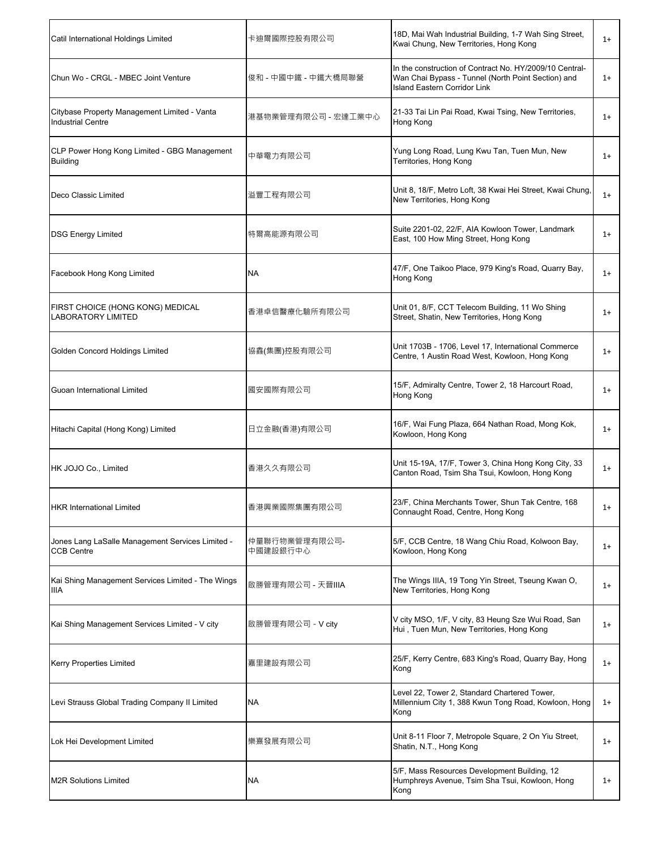| Catil International Holdings Limited                                     | 卡迪爾國際控股有限公司               | 18D, Mai Wah Industrial Building, 1-7 Wah Sing Street,<br>Kwai Chung, New Territories, Hong Kong                                                     | $1+$ |
|--------------------------------------------------------------------------|---------------------------|------------------------------------------------------------------------------------------------------------------------------------------------------|------|
| Chun Wo - CRGL - MBEC Joint Venture                                      | 俊和 - 中國中鐵 - 中鐵大橋局聯營       | In the construction of Contract No. HY/2009/10 Central-<br>Wan Chai Bypass - Tunnel (North Point Section) and<br><b>Island Eastern Corridor Link</b> | $1+$ |
| Citybase Property Management Limited - Vanta<br><b>Industrial Centre</b> | 港基物業管理有限公司 - 宏達工業中心       | 21-33 Tai Lin Pai Road, Kwai Tsing, New Territories,<br>Hong Kong                                                                                    | $1+$ |
| CLP Power Hong Kong Limited - GBG Management<br><b>Building</b>          | 中華電力有限公司                  | Yung Long Road, Lung Kwu Tan, Tuen Mun, New<br>Territories, Hong Kong                                                                                | $1+$ |
| Deco Classic Limited                                                     | 溢豐工程有限公司                  | Unit 8, 18/F, Metro Loft, 38 Kwai Hei Street, Kwai Chung,<br>New Territories, Hong Kong                                                              | $1+$ |
| <b>DSG Energy Limited</b>                                                | 特爾高能源有限公司                 | Suite 2201-02, 22/F, AIA Kowloon Tower, Landmark<br>East, 100 How Ming Street, Hong Kong                                                             | $1+$ |
| Facebook Hong Kong Limited                                               | NA                        | 47/F, One Taikoo Place, 979 King's Road, Quarry Bay,<br>Hong Kong                                                                                    | $1+$ |
| FIRST CHOICE (HONG KONG) MEDICAL<br><b>LABORATORY LIMITED</b>            | 香港卓信醫療化驗所有限公司             | Unit 01, 8/F, CCT Telecom Building, 11 Wo Shing<br>Street, Shatin, New Territories, Hong Kong                                                        | $1+$ |
| Golden Concord Holdings Limited                                          | 協鑫(集團)控股有限公司              | Unit 1703B - 1706, Level 17, International Commerce<br>Centre, 1 Austin Road West, Kowloon, Hong Kong                                                | $1+$ |
| Guoan International Limited                                              | 國安國際有限公司                  | 15/F, Admiralty Centre, Tower 2, 18 Harcourt Road,<br>Hong Kong                                                                                      | $1+$ |
| Hitachi Capital (Hong Kong) Limited                                      | 日立金融(香港)有限公司              | 16/F, Wai Fung Plaza, 664 Nathan Road, Mong Kok,<br>Kowloon, Hong Kong                                                                               | $1+$ |
| HK JOJO Co., Limited                                                     | 香港久久有限公司                  | Unit 15-19A, 17/F, Tower 3, China Hong Kong City, 33<br>Canton Road, Tsim Sha Tsui, Kowloon, Hong Kong                                               | $1+$ |
| <b>HKR International Limited</b>                                         | 香港興業國際集團有限公司              | 23/F, China Merchants Tower, Shun Tak Centre, 168<br>Connaught Road, Centre, Hong Kong                                                               | $1+$ |
| Jones Lang LaSalle Management Services Limited -<br><b>CCB Centre</b>    | 仲量聯行物業管理有限公司-<br>中國建設銀行中心 | 5/F, CCB Centre, 18 Wang Chiu Road, Kolwoon Bay,<br>Kowloon, Hong Kong                                                                               | $1+$ |
| Kai Shing Management Services Limited - The Wings<br>IIIA                | 啟勝管理有限公司 - 天晉IIIA         | The Wings IIIA, 19 Tong Yin Street, Tseung Kwan O,<br>New Territories, Hong Kong                                                                     | $1+$ |
| Kai Shing Management Services Limited - V city                           | 啟勝管理有限公司 - V city         | V city MSO, 1/F, V city, 83 Heung Sze Wui Road, San<br>Hui, Tuen Mun, New Territories, Hong Kong                                                     | $1+$ |
| <b>Kerry Properties Limited</b>                                          | 嘉里建設有限公司                  | 25/F, Kerry Centre, 683 King's Road, Quarry Bay, Hong<br>Kong                                                                                        | $1+$ |
| Levi Strauss Global Trading Company II Limited                           | NA                        | Level 22, Tower 2, Standard Chartered Tower,<br>Millennium City 1, 388 Kwun Tong Road, Kowloon, Hong<br>Kong                                         | $1+$ |
| Lok Hei Development Limited                                              | 樂熹發展有限公司                  | Unit 8-11 Floor 7, Metropole Square, 2 On Yiu Street,<br>Shatin, N.T., Hong Kong                                                                     | $1+$ |
| <b>M2R Solutions Limited</b>                                             | NA                        | 5/F, Mass Resources Development Building, 12<br>Humphreys Avenue, Tsim Sha Tsui, Kowloon, Hong<br>Kong                                               | $1+$ |
|                                                                          |                           |                                                                                                                                                      |      |

r